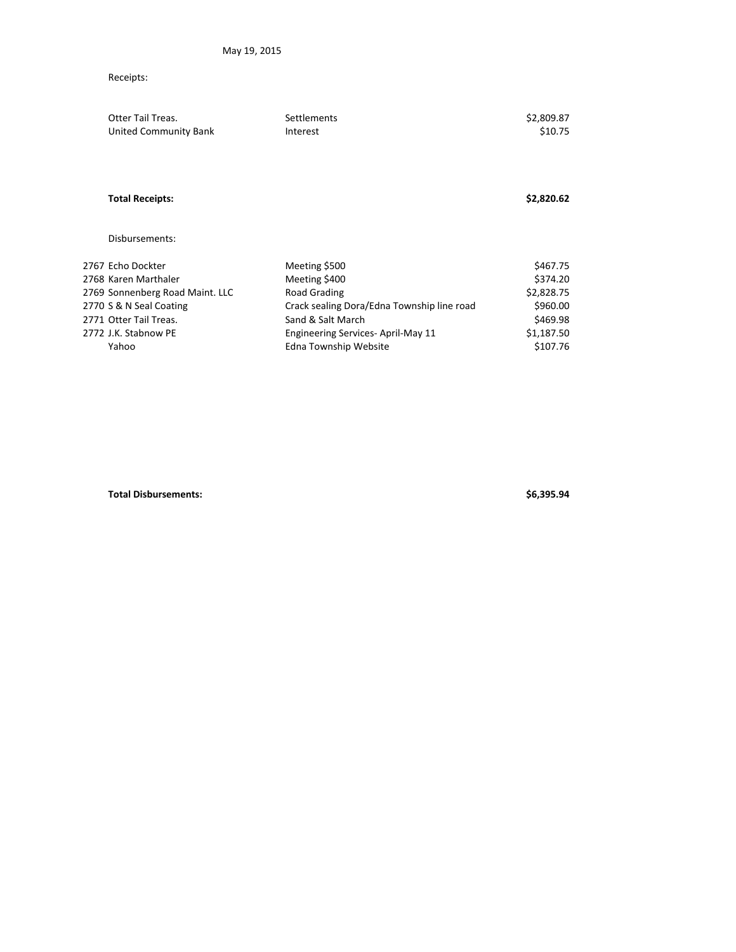## Receipts:

| Otter Tail Treas.<br>United Community Bank | Settlements<br>Interest                    | \$2,809.87<br>\$10.75 |
|--------------------------------------------|--------------------------------------------|-----------------------|
| <b>Total Receipts:</b>                     |                                            | \$2,820.62            |
| Disbursements:                             |                                            |                       |
| 2767 Echo Dockter                          | Meeting \$500                              | \$467.75              |
| 2768 Karen Marthaler                       | Meeting \$400                              | \$374.20              |
| 2769 Sonnenberg Road Maint. LLC            | Road Grading                               | \$2,828.75            |
| 2770 S & N Seal Coating                    | Crack sealing Dora/Edna Township line road | \$960.00              |
| 2771 Otter Tail Treas.                     | Sand & Salt March                          | \$469.98              |
| 2772 J.K. Stabnow PE                       | Engineering Services-April-May 11          | \$1,187.50            |
| Yahoo                                      | Edna Township Website                      | \$107.76              |

**Total Disbursements: \$6,395.94**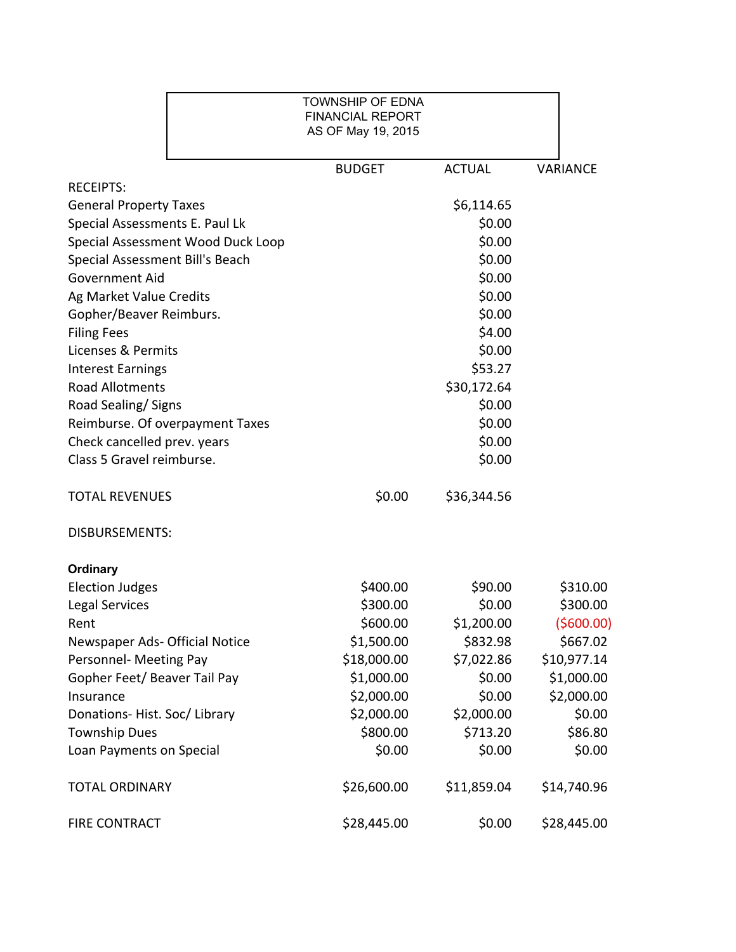|                                   | <b>TOWNSHIP OF EDNA</b><br><b>FINANCIAL REPORT</b><br>AS OF May 19, 2015 |               |                 |
|-----------------------------------|--------------------------------------------------------------------------|---------------|-----------------|
|                                   | <b>BUDGET</b>                                                            | <b>ACTUAL</b> | <b>VARIANCE</b> |
| <b>RECEIPTS:</b>                  |                                                                          |               |                 |
| <b>General Property Taxes</b>     |                                                                          | \$6,114.65    |                 |
| Special Assessments E. Paul Lk    |                                                                          | \$0.00        |                 |
| Special Assessment Wood Duck Loop |                                                                          | \$0.00        |                 |
| Special Assessment Bill's Beach   |                                                                          | \$0.00        |                 |
| <b>Government Aid</b>             |                                                                          | \$0.00        |                 |
| Ag Market Value Credits           |                                                                          | \$0.00        |                 |
| Gopher/Beaver Reimburs.           |                                                                          | \$0.00        |                 |
| <b>Filing Fees</b>                |                                                                          | \$4.00        |                 |
| Licenses & Permits                |                                                                          | \$0.00        |                 |
| <b>Interest Earnings</b>          |                                                                          | \$53.27       |                 |
| <b>Road Allotments</b>            |                                                                          | \$30,172.64   |                 |
| Road Sealing/Signs                |                                                                          | \$0.00        |                 |
| Reimburse. Of overpayment Taxes   |                                                                          | \$0.00        |                 |
| Check cancelled prev. years       |                                                                          | \$0.00        |                 |
| Class 5 Gravel reimburse.         |                                                                          | \$0.00        |                 |
| <b>TOTAL REVENUES</b>             | \$0.00                                                                   | \$36,344.56   |                 |
| <b>DISBURSEMENTS:</b>             |                                                                          |               |                 |
| <b>Ordinary</b>                   |                                                                          |               |                 |
| <b>Election Judges</b>            | \$400.00                                                                 | \$90.00       | \$310.00        |
| <b>Legal Services</b>             | \$300.00                                                                 | \$0.00        | \$300.00        |
| Rent                              | \$600.00                                                                 | \$1,200.00    | (5600.00)       |
| Newspaper Ads- Official Notice    | \$1,500.00                                                               | \$832.98      | \$667.02        |
| Personnel- Meeting Pay            | \$18,000.00                                                              | \$7,022.86    | \$10,977.14     |
| Gopher Feet/ Beaver Tail Pay      | \$1,000.00                                                               | \$0.00        | \$1,000.00      |
| Insurance                         | \$2,000.00                                                               | \$0.00        | \$2,000.00      |
| Donations-Hist. Soc/Library       | \$2,000.00                                                               | \$2,000.00    | \$0.00          |
| <b>Township Dues</b>              | \$800.00                                                                 | \$713.20      | \$86.80         |
| Loan Payments on Special          | \$0.00                                                                   | \$0.00        | \$0.00          |
| <b>TOTAL ORDINARY</b>             | \$26,600.00                                                              | \$11,859.04   | \$14,740.96     |
| FIRE CONTRACT                     | \$28,445.00                                                              | \$0.00        | \$28,445.00     |